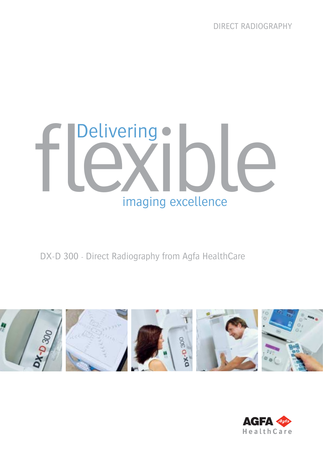DIRECT RADIOGRAPHY

# fl exilo C Delivering · imaging excellence

DX-D 300 - Direct Radiography from Agfa HealthCare



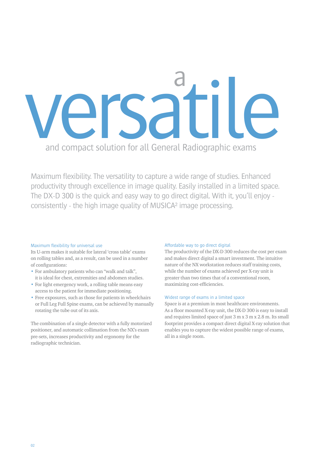

Maximum flexibility. The versatility to capture a wide range of studies. Enhanced productivity through excellence in image quality. Easily installed in a limited space. The DX-D 300 is the quick and easy way to go direct digital. With it, you'll enjoy consistently - the high image quality of MUSICA² image processing.

# Maximum flexibility for universal use

Its U-arm makes it suitable for lateral 'cross table' exams on rolling tables and, as a result, can be used in a number of configurations:

- For ambulatory patients who can "walk and talk", it is ideal for chest, extremities and abdomen studies.
- For light emergency work, a rolling table means easy access to the patient for immediate positioning.
- Free exposures, such as those for patients in wheelchairs or Full Leg Full Spine exams, can be achieved by manually rotating the tube out of its axis.

The combination of a single detector with a fully motorized positioner, and automatic collimation from the NX's exam pre-sets, increases productivity and ergonomy for the radiographic technician.

# Affordable way to go direct digital

The productivity of the DX-D 300 reduces the cost per exam and makes direct digital a smart investment. The intuitive nature of the NX workstation reduces staff training costs, while the number of exams achieved per X-ray unit is greater than two times that of a conventional room, maximizing cost-efficiencies.

# Widest range of exams in a limited space

Space is at a premium in most healthcare environments. As a floor mounted X-ray unit, the DX-D 300 is easy to install and requires limited space of just 3 m x 3 m x 2.8 m. Its small footprint provides a compact direct digital X-ray solution that enables you to capture the widest possible range of exams, all in a single room.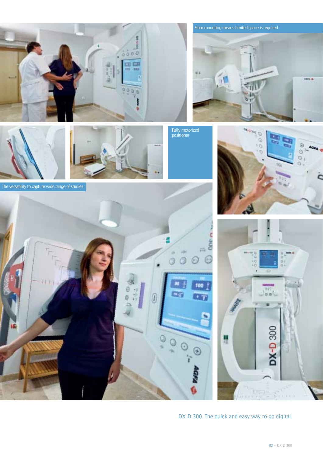



The versatility to capture wide range of studies



Floor mounting means limited space is required  $004.4$ 

Fully motorized positioner





DX-D 300. The quick and easy way to go digital.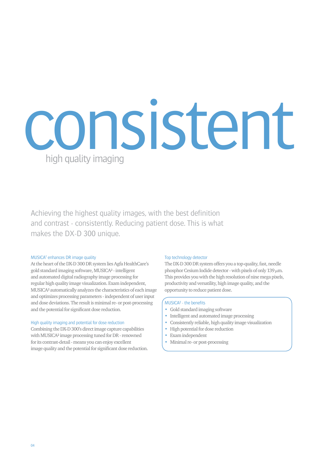# consistent high quality imaging

Achieving the highest quality images, with the best definition and contrast - consistently. Reducing patient dose. This is what makes the DX-D 300 unique.

# MUSICA<sup>2</sup> enhances DR image quality

At the heart of the DX-D 300 DR system lies Agfa HealthCare's gold standard imaging software, MUSICA² - intelligent and automated digital radiography image processing for regular high quality image visualization. Exam independent, MUSICA² automatically analyzes the characteristics of each image and optimizes processing parameters - independent of user input and dose deviations. The result is minimal re- or post-processing and the potential for significant dose reduction.

#### High quality imaging and potential for dose reduction

Combining the DX-D 300's direct image capture capabilities with MUSICA² image processing tuned for DR - renowned for its contrast-detail - means you can enjoy excellent image quality and the potential for significant dose reduction.

#### Top technology detector

The DX-D 300 DR system offers you a top-quality, fast, needle phosphor Cesium Iodide detector - with pixels of only  $139 \,\mu m$ . This provides you with the high resolution of nine mega pixels, productivity and versatility, high image quality, and the opportunity to reduce patient dose.

# $MUSICA<sup>2</sup> - the benefits$

- Gold standard imaging software
- Intelligent and automated image processing
- Consistently reliable, high quality image visualization
- High potential for dose reduction
- Exam independent
- Minimal re- or post-processing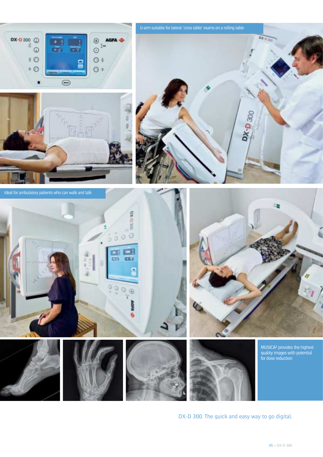

U-arm suitable for lateral 'cross table' exams on a rolling table





Ideal for ambulatory patients who can walk and talk

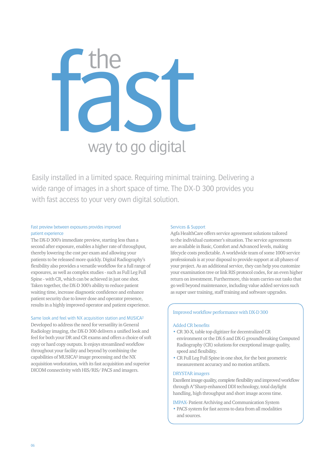

Easily installed in a limited space. Requiring minimal training. Delivering a wide range of images in a short space of time. The DX-D 300 provides you with fast access to your very own digital solution.

# Fast preview between exposures provides improved patient experience

The DX-D 300's immediate preview, starting less than a second after exposure, enables a higher rate of throughput, thereby lowering the cost per exam and allowing your patients to be released more quickly. Digital Radiography's flexibility also provides a versatile workflow for a full range of exposures, as well as complex studies - such as Full Leg Full Spine - with CR, which can be achieved in just one shot. Taken together, the DX-D 300's ability to reduce patient waiting time, increase diagnostic confidence and enhance patient security due to lower dose and operator presence, results in a highly improved operator and patient experience.

# Same look and feel with NX acquisition station and MUSICA²

Developed to address the need for versatility in General Radiology imaging, the DX-D 300 delivers a unified look and feel for both your DR and CR exams and offers a choice of soft copy or hard copy outputs. It enjoys streamlined workflow throughout your facility and beyond by combining the capabilities of MUSICA² image processing and the NX acquisition workstation, with its fast acquisition and superior DICOM connectivity with HIS/RIS/ PACS and imagers.

# Services & Support

Agfa HealthCare offers service agreement solutions tailored to the individual customer's situation. The service agreements are available in Basic, Comfort and Advanced levels, making lifecycle costs predictable. A worldwide team of some 1000 service professionals is at your disposal to provide support at all phases of your project. As an additional service, they can help you customize your examination tree or link RIS protocol codes, for an even higher return on investment. Furthermore, this team carries out tasks that go well beyond maintenance, including value added services such as super user training, staff training and software upgrades.

# Improved workflow performance with DX-D 300

### Added CR benefits

- CR 30-X, table top digitizer for decentralized CR environment or the DX-S and DX-G groundbreaking Computed Radiography (CR) solutions for exceptional image quality, speed and flexibility.
- CR Full Leg Full Spine in one shot, for the best geometric measurement accuracy and no motion artifacts.

#### DRYSTAR imagers

Excellent image quality, complete flexibility and improved workflow through A# Sharp enhanced DDI technology, total daylight handling, high throughput and short image access time.

IMPAX- Patient Archiving and Communication System

• PACS system for fast access to data from all modalities and sources.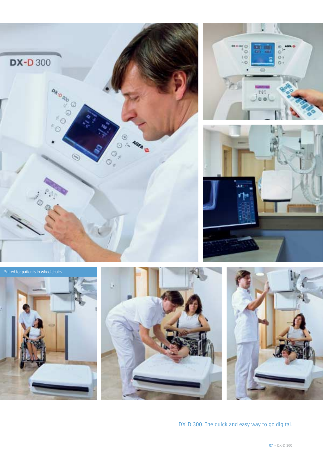





Suited for patients in wheelchairs